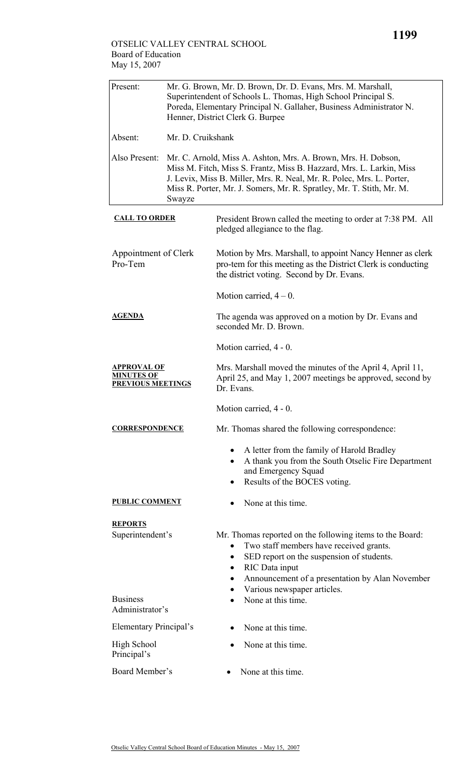## OTSELIC VALLEY CENTRAL SCHOOL Board of Education May 15, 2007

| Present:                                                     | Mr. G. Brown, Mr. D. Brown, Dr. D. Evans, Mrs. M. Marshall,<br>Superintendent of Schools L. Thomas, High School Principal S.<br>Poreda, Elementary Principal N. Gallaher, Business Administrator N.<br>Henner, District Clerk G. Burpee                                                          |                                                                                                                                                                                                                                         |  |  |
|--------------------------------------------------------------|--------------------------------------------------------------------------------------------------------------------------------------------------------------------------------------------------------------------------------------------------------------------------------------------------|-----------------------------------------------------------------------------------------------------------------------------------------------------------------------------------------------------------------------------------------|--|--|
| Absent:                                                      | Mr. D. Cruikshank                                                                                                                                                                                                                                                                                |                                                                                                                                                                                                                                         |  |  |
| Also Present:                                                | Mr. C. Arnold, Miss A. Ashton, Mrs. A. Brown, Mrs. H. Dobson,<br>Miss M. Fitch, Miss S. Frantz, Miss B. Hazzard, Mrs. L. Larkin, Miss<br>J. Levix, Miss B. Miller, Mrs. R. Neal, Mr. R. Polec, Mrs. L. Porter,<br>Miss R. Porter, Mr. J. Somers, Mr. R. Spratley, Mr. T. Stith, Mr. M.<br>Swayze |                                                                                                                                                                                                                                         |  |  |
| <b>CALL TO ORDER</b>                                         |                                                                                                                                                                                                                                                                                                  | President Brown called the meeting to order at 7:38 PM. All<br>pledged allegiance to the flag.                                                                                                                                          |  |  |
| Appointment of Clerk<br>Pro-Tem                              |                                                                                                                                                                                                                                                                                                  | Motion by Mrs. Marshall, to appoint Nancy Henner as clerk<br>pro-tem for this meeting as the District Clerk is conducting<br>the district voting. Second by Dr. Evans.                                                                  |  |  |
|                                                              |                                                                                                                                                                                                                                                                                                  | Motion carried, $4-0$ .                                                                                                                                                                                                                 |  |  |
| <b>AGENDA</b>                                                |                                                                                                                                                                                                                                                                                                  | The agenda was approved on a motion by Dr. Evans and<br>seconded Mr. D. Brown.                                                                                                                                                          |  |  |
|                                                              |                                                                                                                                                                                                                                                                                                  | Motion carried, 4 - 0.                                                                                                                                                                                                                  |  |  |
| <b>APPROVAL OF</b><br>MINUTES OF<br><b>PREVIOUS MEETINGS</b> |                                                                                                                                                                                                                                                                                                  | Mrs. Marshall moved the minutes of the April 4, April 11,<br>April 25, and May 1, 2007 meetings be approved, second by<br>Dr. Evans.                                                                                                    |  |  |
|                                                              |                                                                                                                                                                                                                                                                                                  | Motion carried, 4 - 0.                                                                                                                                                                                                                  |  |  |
| <b>CORRESPONDENCE</b>                                        |                                                                                                                                                                                                                                                                                                  | Mr. Thomas shared the following correspondence:                                                                                                                                                                                         |  |  |
|                                                              |                                                                                                                                                                                                                                                                                                  | A letter from the family of Harold Bradley<br>A thank you from the South Otselic Fire Department<br>$\bullet$<br>and Emergency Squad<br>Results of the BOCES voting.                                                                    |  |  |
| <b>PUBLIC COMMENT</b>                                        |                                                                                                                                                                                                                                                                                                  | None at this time.                                                                                                                                                                                                                      |  |  |
| <b>REPORTS</b><br>Superintendent's                           |                                                                                                                                                                                                                                                                                                  | Mr. Thomas reported on the following items to the Board:<br>Two staff members have received grants.<br>SED report on the suspension of students.<br>٠<br>RIC Data input<br>$\bullet$<br>Announcement of a presentation by Alan November |  |  |
| <b>Business</b><br>Administrator's                           |                                                                                                                                                                                                                                                                                                  | Various newspaper articles.<br>None at this time.                                                                                                                                                                                       |  |  |
| Elementary Principal's                                       |                                                                                                                                                                                                                                                                                                  | None at this time.                                                                                                                                                                                                                      |  |  |
| <b>High School</b><br>Principal's                            |                                                                                                                                                                                                                                                                                                  | None at this time.                                                                                                                                                                                                                      |  |  |
| Board Member's                                               |                                                                                                                                                                                                                                                                                                  | None at this time.                                                                                                                                                                                                                      |  |  |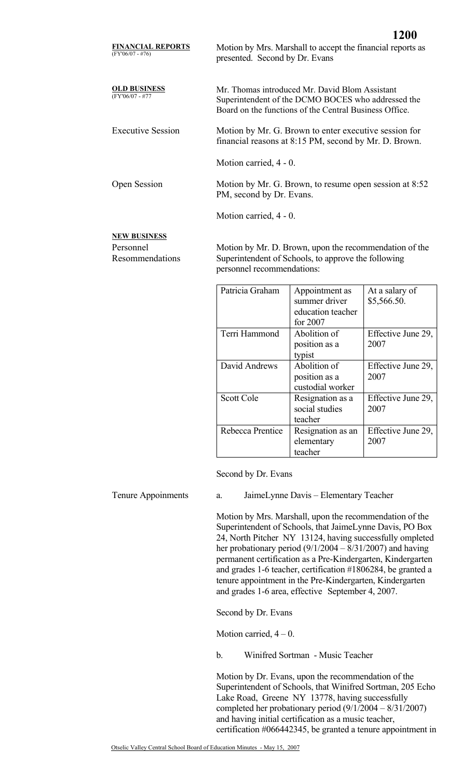**OLD BUSINESS** Mr. Thomas introduced Mr. David Blom Assistant Superintendent of the DCMO BOCES who addressed the Board on the functions of the Central Business Office.

Executive Session Motion by Mr. G. Brown to enter executive session for financial reasons at 8:15 PM, second by Mr. D. Brown.

**1200**

Motion carried, 4 - 0.

Open Session Motion by Mr. G. Brown, to resume open session at 8:52 PM, second by Dr. Evans.

Motion carried, 4 - 0.

## **NEW BUSINESS**

(FY'06/07 - #77

Personnel Resommendations Motion by Mr. D. Brown, upon the recommendation of the Superintendent of Schools, to approve the following personnel recommendations:

| Patricia Graham  | Appointment as<br>summer driver<br>education teacher<br>for 2007 | At a salary of<br>\$5,566.50. |
|------------------|------------------------------------------------------------------|-------------------------------|
| Terri Hammond    | Abolition of<br>position as a<br>typist                          | Effective June 29,<br>2007    |
| David Andrews    | Abolition of<br>position as a<br>custodial worker                | Effective June 29,<br>2007    |
| Scott Cole       | Resignation as a<br>social studies<br>teacher                    | Effective June 29,<br>2007    |
| Rebecca Prentice | Resignation as an<br>elementary<br>teacher                       | Effective June 29,<br>2007    |

Second by Dr. Evans

Tenure Appoinments a. JaimeLynne Davis – Elementary Teacher

Motion by Mrs. Marshall, upon the recommendation of the Superintendent of Schools, that JaimeLynne Davis, PO Box 24, North Pitcher NY 13124, having successfully ompleted her probationary period (9/1/2004 – 8/31/2007) and having permanent certification as a Pre-Kindergarten, Kindergarten and grades 1-6 teacher, certification #1806284, be granted a tenure appointment in the Pre-Kindergarten, Kindergarten and grades 1-6 area, effective September 4, 2007.

Second by Dr. Evans

Motion carried,  $4 - 0$ .

b. Winifred Sortman - Music Teacher

Motion by Dr. Evans, upon the recommendation of the Superintendent of Schools, that Winifred Sortman, 205 Echo Lake Road, Greene NY 13778, having successfully completed her probationary period (9/1/2004 – 8/31/2007) and having initial certification as a music teacher, certification #066442345, be granted a tenure appointment in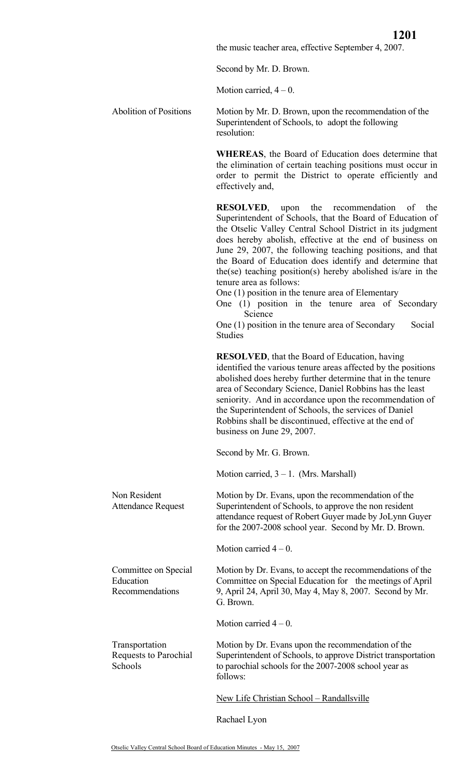the music teacher area, effective September 4, 2007.

Second by Mr. D. Brown.

Motion carried,  $4 - 0$ .

Abolition of Positions Motion by Mr. D. Brown, upon the recommendation of the Superintendent of Schools, to adopt the following resolution:

> **WHEREAS**, the Board of Education does determine that the elimination of certain teaching positions must occur in order to permit the District to operate efficiently and effectively and,

> **RESOLVED**, upon the recommendation of the Superintendent of Schools, that the Board of Education of the Otselic Valley Central School District in its judgment does hereby abolish, effective at the end of business on June 29, 2007, the following teaching positions, and that the Board of Education does identify and determine that the(se) teaching position(s) hereby abolished is/are in the tenure area as follows:

One (1) position in the tenure area of Elementary

One (1) position in the tenure area of Secondary Science

One  $(1)$  position in the tenure area of Secondary Social Studies

**RESOLVED**, that the Board of Education, having identified the various tenure areas affected by the positions abolished does hereby further determine that in the tenure area of Secondary Science, Daniel Robbins has the least seniority. And in accordance upon the recommendation of the Superintendent of Schools, the services of Daniel Robbins shall be discontinued, effective at the end of business on June 29, 2007.

Second by Mr. G. Brown.

Motion carried,  $3 - 1$ . (Mrs. Marshall)

Motion by Dr. Evans, upon the recommendation of the Superintendent of Schools, to approve the non resident attendance request of Robert Guyer made by JoLynn Guyer for the 2007-2008 school year. Second by Mr. D. Brown.

Motion carried  $4 - 0$ .

Committee on Special Education Recommendations

Transportation

**Schools** 

Non Resident

Attendance Request

Committee on Special Education for the meetings of April 9, April 24, April 30, May 4, May 8, 2007. Second by Mr. G. Brown.

Motion by Dr. Evans, to accept the recommendations of the

Motion carried  $4 - 0$ .

Requests to Parochial Motion by Dr. Evans upon the recommendation of the Superintendent of Schools, to approve District transportation to parochial schools for the 2007-2008 school year as follows:

New Life Christian School – Randallsville

Rachael Lyon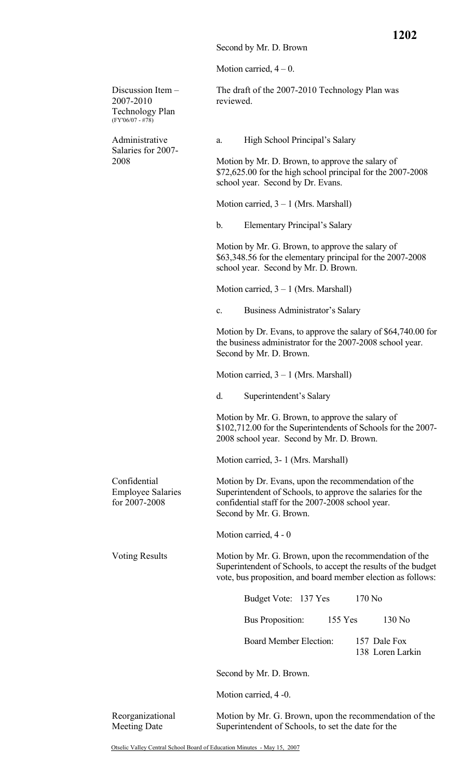Motion carried,  $4 - 0$ .

Discussion Item – 2007-2010 Technology Plan (FY'06/07 - #78) The draft of the 2007-2010 Technology Plan was reviewed. Administrative Salaries for 2007- 2008 a. High School Principal's Salary Motion by Mr. D. Brown, to approve the salary of \$72,625.00 for the high school principal for the 2007-2008 school year. Second by Dr. Evans. Motion carried,  $3 - 1$  (Mrs. Marshall) b. Elementary Principal's Salary Motion by Mr. G. Brown, to approve the salary of \$63,348.56 for the elementary principal for the 2007-2008 school year. Second by Mr. D. Brown. Motion carried,  $3 - 1$  (Mrs. Marshall) c. Business Administrator's Salary Motion by Dr. Evans, to approve the salary of \$64,740.00 for the business administrator for the 2007-2008 school year. Second by Mr. D. Brown. Motion carried,  $3 - 1$  (Mrs. Marshall) d. Superintendent's Salary Motion by Mr. G. Brown, to approve the salary of \$102,712.00 for the Superintendents of Schools for the 2007- 2008 school year. Second by Mr. D. Brown. Motion carried, 3- 1 (Mrs. Marshall) Confidential Employee Salaries for 2007-2008 Motion by Dr. Evans, upon the recommendation of the Superintendent of Schools, to approve the salaries for the confidential staff for the 2007-2008 school year. Second by Mr. G. Brown. Motion carried, 4 - 0 Voting Results Motion by Mr. G. Brown, upon the recommendation of the Superintendent of Schools, to accept the results of the budget vote, bus proposition, and board member election as follows: Budget Vote: 137 Yes 170 No Bus Proposition: 155 Yes 130 No Board Member Election: 157 Dale Fox 138 Loren Larkin Second by Mr. D. Brown. Motion carried, 4 -0. Reorganizational Meeting Date Motion by Mr. G. Brown, upon the recommendation of the Superintendent of Schools, to set the date for the